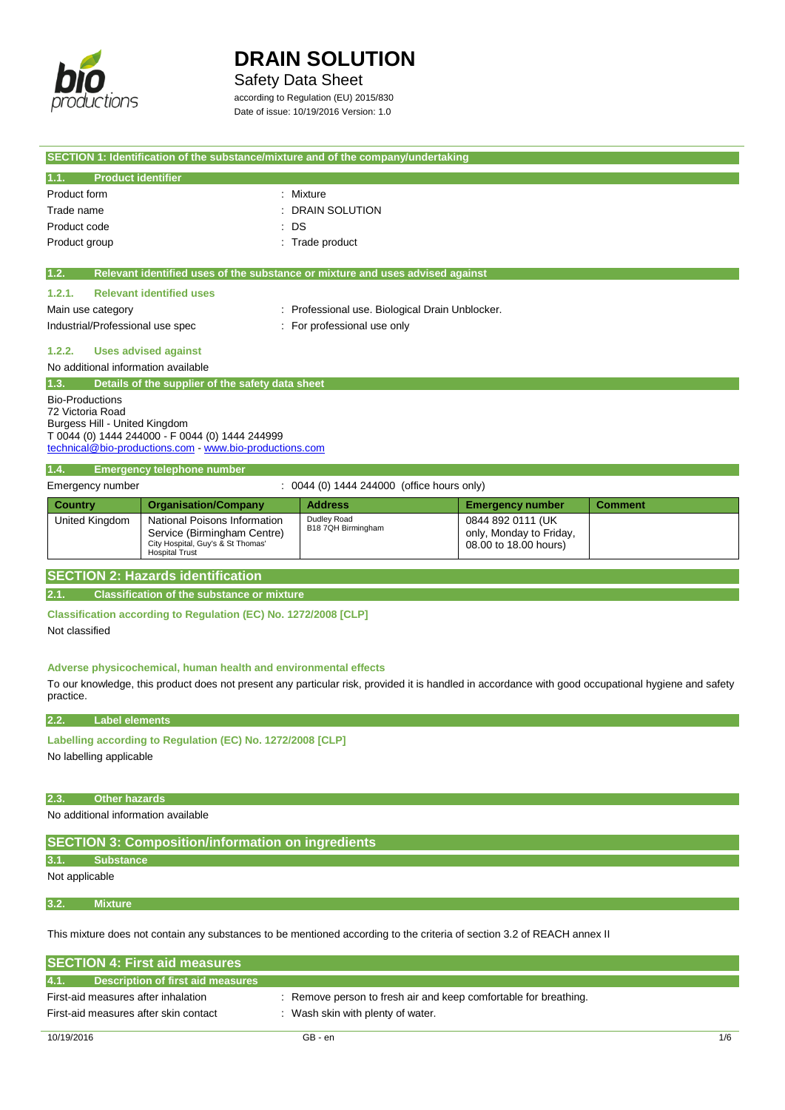

 $\overline{a}$ 

## **DRAIN SOLUTION**

## Safety Data Sheet

according to Regulation (EU) 2015/830 Date of issue: 10/19/2016 Version: 1.0

|                                                                             |                                                                                                                           | SECTION 1: Identification of the substance/mixture and of the company/undertaking                                                                   |                                                                       |                |
|-----------------------------------------------------------------------------|---------------------------------------------------------------------------------------------------------------------------|-----------------------------------------------------------------------------------------------------------------------------------------------------|-----------------------------------------------------------------------|----------------|
| 1.1.<br><b>Product identifier</b>                                           |                                                                                                                           |                                                                                                                                                     |                                                                       |                |
| Product form                                                                |                                                                                                                           | : Mixture                                                                                                                                           |                                                                       |                |
| Trade name                                                                  |                                                                                                                           | <b>DRAIN SOLUTION</b>                                                                                                                               |                                                                       |                |
| Product code                                                                | : DS                                                                                                                      |                                                                                                                                                     |                                                                       |                |
| Product group                                                               |                                                                                                                           | : Trade product                                                                                                                                     |                                                                       |                |
| 1.2.                                                                        |                                                                                                                           | Relevant identified uses of the substance or mixture and uses advised against                                                                       |                                                                       |                |
| 1.2.1.                                                                      | <b>Relevant identified uses</b>                                                                                           |                                                                                                                                                     |                                                                       |                |
| Main use category                                                           |                                                                                                                           | : Professional use. Biological Drain Unblocker.                                                                                                     |                                                                       |                |
| Industrial/Professional use spec                                            |                                                                                                                           | : For professional use only                                                                                                                         |                                                                       |                |
| 1.2.2.                                                                      | <b>Uses advised against</b>                                                                                               |                                                                                                                                                     |                                                                       |                |
| No additional information available                                         |                                                                                                                           |                                                                                                                                                     |                                                                       |                |
| 1.3.                                                                        | Details of the supplier of the safety data sheet                                                                          |                                                                                                                                                     |                                                                       |                |
| <b>Bio-Productions</b><br>72 Victoria Road<br>Burgess Hill - United Kingdom | T 0044 (0) 1444 244000 - F 0044 (0) 1444 244999<br>technical@bio-productions.com - www.bio-productions.com                |                                                                                                                                                     |                                                                       |                |
| 1.4.                                                                        | <b>Emergency telephone number</b>                                                                                         |                                                                                                                                                     |                                                                       |                |
| Emergency number                                                            |                                                                                                                           | : 0044 (0) 1444 244000 (office hours only)                                                                                                          |                                                                       |                |
| <b>Country</b>                                                              | <b>Organisation/Company</b>                                                                                               | <b>Address</b>                                                                                                                                      | <b>Emergency number</b>                                               | <b>Comment</b> |
| <b>United Kingdom</b>                                                       | National Poisons Information<br>Service (Birmingham Centre)<br>City Hospital, Guy's & St Thomas'<br><b>Hospital Trust</b> | Dudley Road<br>B18 7QH Birmingham                                                                                                                   | 0844 892 0111 (UK<br>only, Monday to Friday,<br>08.00 to 18.00 hours) |                |
|                                                                             | <b>SECTION 2: Hazards identification</b>                                                                                  |                                                                                                                                                     |                                                                       |                |
| 2.1.                                                                        | <b>Classification of the substance or mixture</b>                                                                         |                                                                                                                                                     |                                                                       |                |
| Not classified                                                              | Classification according to Regulation (EC) No. 1272/2008 [CLP]                                                           |                                                                                                                                                     |                                                                       |                |
| practice.                                                                   | Adverse physicochemical, human health and environmental effects                                                           | To our knowledge, this product does not present any particular risk, provided it is handled in accordance with good occupational hygiene and safety |                                                                       |                |
| 2.2.<br><b>Label elements</b>                                               |                                                                                                                           |                                                                                                                                                     |                                                                       |                |
| No labelling applicable                                                     | Labelling according to Regulation (EC) No. 1272/2008 [CLP]                                                                |                                                                                                                                                     |                                                                       |                |
| 2.3.<br><b>Other hazards</b>                                                |                                                                                                                           |                                                                                                                                                     |                                                                       |                |
| No additional information available                                         |                                                                                                                           |                                                                                                                                                     |                                                                       |                |
|                                                                             | <b>SECTION 3: Composition/information on ingredients</b>                                                                  |                                                                                                                                                     |                                                                       |                |
| <b>Substance</b><br>3.1.                                                    |                                                                                                                           |                                                                                                                                                     |                                                                       |                |
| Not applicable                                                              |                                                                                                                           |                                                                                                                                                     |                                                                       |                |
| 3.2.<br><b>Mixture</b>                                                      |                                                                                                                           |                                                                                                                                                     |                                                                       |                |
|                                                                             |                                                                                                                           | This mixture does not contain any substances to be mentioned according to the criteria of section 3.2 of REACH annex II                             |                                                                       |                |
|                                                                             | <b>SECTION 4: First aid measures</b>                                                                                      |                                                                                                                                                     |                                                                       |                |
| 4.1.                                                                        | <b>Description of first aid measures</b>                                                                                  |                                                                                                                                                     |                                                                       |                |
| First-aid measures after inhalation                                         |                                                                                                                           | : Remove person to fresh air and keep comfortable for breathing.                                                                                    |                                                                       |                |
| First-aid measures after skin contact                                       |                                                                                                                           | : Wash skin with plenty of water.                                                                                                                   |                                                                       |                |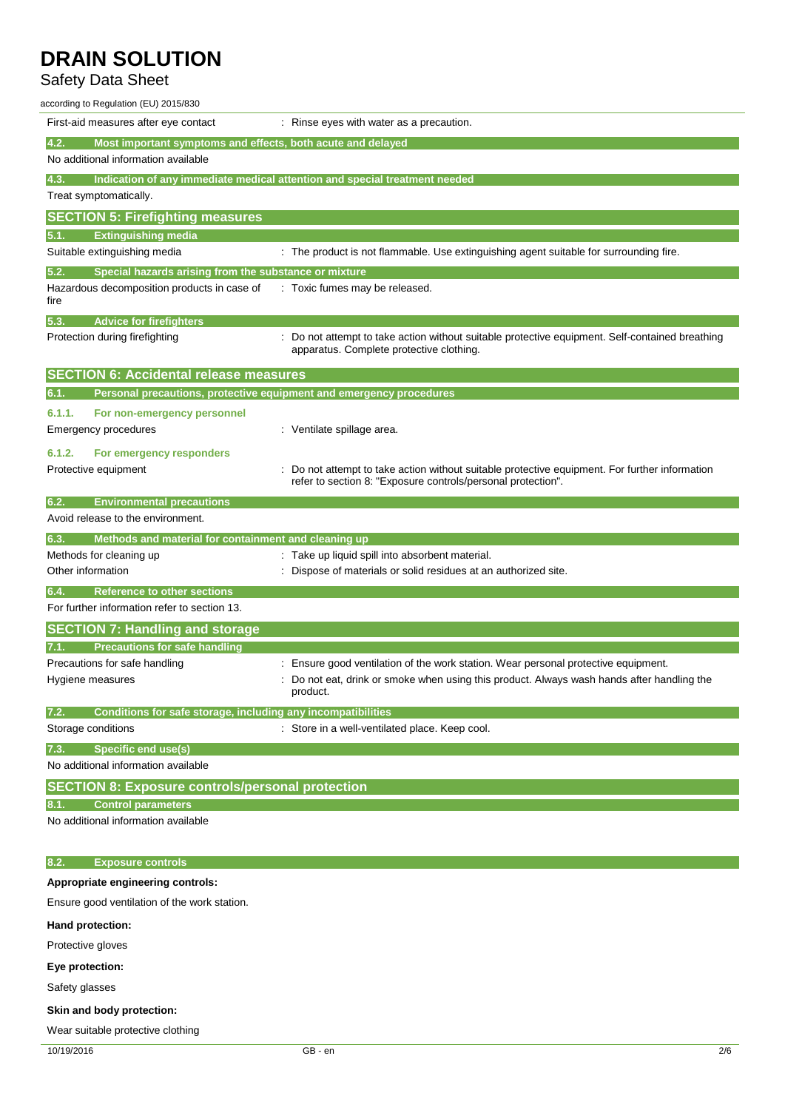## Safety Data Sheet

| according to Regulation (EU) 2015/830                                                                      |                                                                                                                                                                |
|------------------------------------------------------------------------------------------------------------|----------------------------------------------------------------------------------------------------------------------------------------------------------------|
| First-aid measures after eye contact                                                                       | : Rinse eyes with water as a precaution.                                                                                                                       |
| Most important symptoms and effects, both acute and delayed<br>4.2.<br>No additional information available |                                                                                                                                                                |
| 4.3.                                                                                                       | Indication of any immediate medical attention and special treatment needed                                                                                     |
| Treat symptomatically.                                                                                     |                                                                                                                                                                |
| <b>SECTION 5: Firefighting measures</b>                                                                    |                                                                                                                                                                |
| <b>Extinguishing media</b><br>5.1.                                                                         |                                                                                                                                                                |
| Suitable extinguishing media                                                                               | : The product is not flammable. Use extinguishing agent suitable for surrounding fire.                                                                         |
| 5.2.<br>Special hazards arising from the substance or mixture                                              |                                                                                                                                                                |
| Hazardous decomposition products in case of<br>fire                                                        | : Toxic fumes may be released.                                                                                                                                 |
| 5.3.<br><b>Advice for firefighters</b>                                                                     |                                                                                                                                                                |
| Protection during firefighting                                                                             | Do not attempt to take action without suitable protective equipment. Self-contained breathing<br>apparatus. Complete protective clothing.                      |
| <b>SECTION 6: Accidental release measures</b>                                                              |                                                                                                                                                                |
| Personal precautions, protective equipment and emergency procedures<br>6.1.                                |                                                                                                                                                                |
| 6.1.1.<br>For non-emergency personnel                                                                      |                                                                                                                                                                |
| Emergency procedures                                                                                       | : Ventilate spillage area.                                                                                                                                     |
| 6.1.2.<br>For emergency responders                                                                         |                                                                                                                                                                |
| Protective equipment                                                                                       | : Do not attempt to take action without suitable protective equipment. For further information<br>refer to section 8: "Exposure controls/personal protection". |
| 6.2.<br><b>Environmental precautions</b>                                                                   |                                                                                                                                                                |
| Avoid release to the environment.                                                                          |                                                                                                                                                                |
| Methods and material for containment and cleaning up<br>6.3.                                               |                                                                                                                                                                |
| Methods for cleaning up                                                                                    | : Take up liquid spill into absorbent material.                                                                                                                |
| Other information                                                                                          | Dispose of materials or solid residues at an authorized site.                                                                                                  |
| 6.4.<br><b>Reference to other sections</b><br>For further information refer to section 13.                 |                                                                                                                                                                |
| <b>SECTION 7: Handling and storage</b>                                                                     |                                                                                                                                                                |
| <b>Precautions for safe handling</b><br>7.1.                                                               |                                                                                                                                                                |
| Precautions for safe handling                                                                              | : Ensure good ventilation of the work station. Wear personal protective equipment.                                                                             |
| Hygiene measures                                                                                           | : Do not eat, drink or smoke when using this product. Always wash hands after handling the<br>product.                                                         |
| 7.2.<br>Conditions for safe storage, including any incompatibilities                                       |                                                                                                                                                                |
| Storage conditions                                                                                         | : Store in a well-ventilated place. Keep cool.                                                                                                                 |
| <b>Specific end use(s)</b><br>7.3.                                                                         |                                                                                                                                                                |
| No additional information available                                                                        |                                                                                                                                                                |
| <b>SECTION 8: Exposure controls/personal protection</b>                                                    |                                                                                                                                                                |
| <b>Control parameters</b><br>8.1.                                                                          |                                                                                                                                                                |
| No additional information available                                                                        |                                                                                                                                                                |
| 8.2.<br><b>Exposure controls</b>                                                                           |                                                                                                                                                                |
| Appropriate engineering controls:                                                                          |                                                                                                                                                                |
| Ensure good ventilation of the work station.                                                               |                                                                                                                                                                |
| Hand protection:                                                                                           |                                                                                                                                                                |
| Protective gloves                                                                                          |                                                                                                                                                                |
| Eye protection:                                                                                            |                                                                                                                                                                |
| Safety glasses                                                                                             |                                                                                                                                                                |
|                                                                                                            |                                                                                                                                                                |
| Skin and body protection:                                                                                  |                                                                                                                                                                |

Wear suitable protective clothing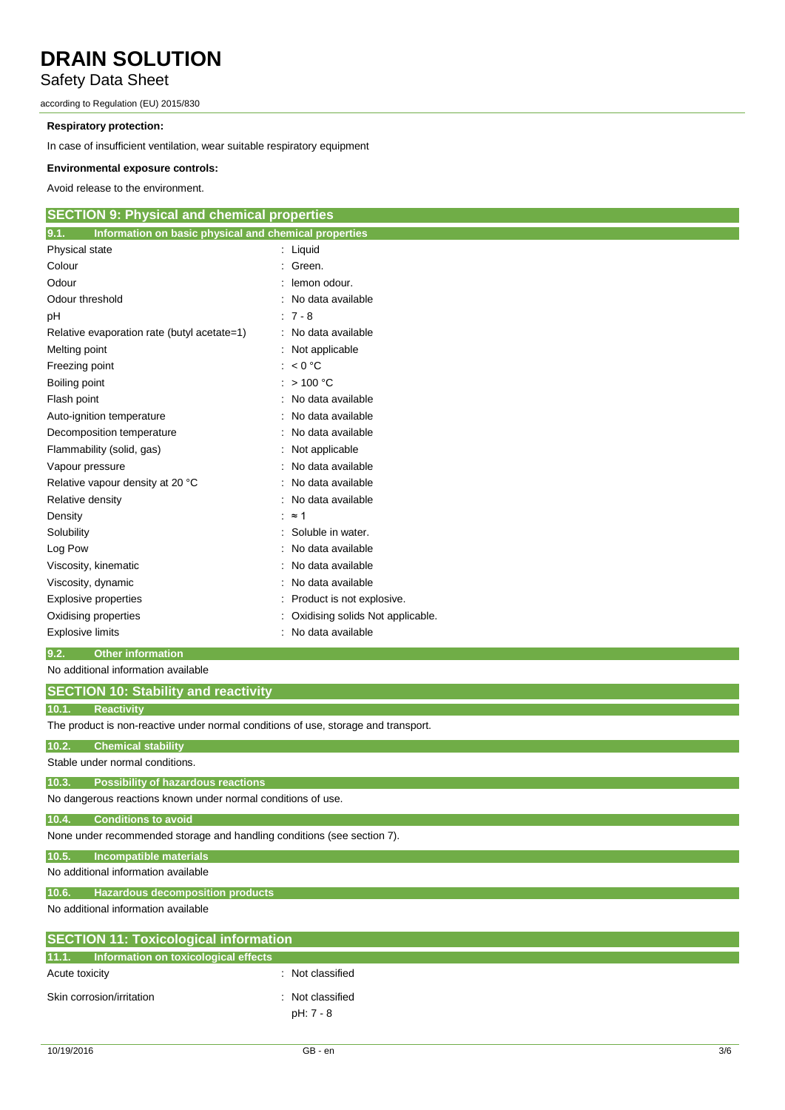### Safety Data Sheet

according to Regulation (EU) 2015/830

#### **Respiratory protection:**

In case of insufficient ventilation, wear suitable respiratory equipment

#### **Environmental exposure controls:**

Avoid release to the environment.

#### **SECTION 9: Physical and chemical properties**

| 9.1.<br>Information on basic physical and chemical properties |                                    |
|---------------------------------------------------------------|------------------------------------|
| Physical state                                                | $:$ Liquid                         |
| Colour                                                        | : Green.                           |
| Odour                                                         | lemon odour.                       |
| Odour threshold                                               | : No data available                |
| рH                                                            | $: 7 - 8$                          |
| Relative evaporation rate (butyl acetate=1)                   | : No data available                |
| Melting point                                                 | : Not applicable                   |
| Freezing point                                                | : $< 0$ °C                         |
| Boiling point                                                 | : $>100 °C$                        |
| Flash point                                                   | : No data available                |
| Auto-ignition temperature                                     | : No data available                |
| Decomposition temperature                                     | : No data available                |
| Flammability (solid, gas)                                     | : Not applicable                   |
| Vapour pressure                                               | : No data available                |
| Relative vapour density at 20 °C                              | : No data available                |
| Relative density                                              | : No data available                |
| Density                                                       | $\approx$ 1                        |
| Solubility                                                    | Soluble in water.                  |
| Log Pow                                                       | No data available                  |
| Viscosity, kinematic                                          | : No data available                |
| Viscosity, dynamic                                            | : No data available                |
| Explosive properties                                          | : Product is not explosive.        |
| Oxidising properties                                          | : Oxidising solids Not applicable. |
| <b>Explosive limits</b>                                       | : No data available                |

#### **9.2. Other information**

No additional information available

### **SECTION 10: Stability and reactivity**

| रेeactivitv |
|-------------|
|             |

The product is non-reactive under normal conditions of use, storage and transport.

#### **10.2. Chemical stability**

Stable under normal conditions.

### **10.3. Possibility of hazardous reactions**

No dangerous reactions known under normal conditions of use.

#### **10.4. Conditions to avoid**

None under recommended storage and handling conditions (see section 7).

#### **10.5. Incompatible materials**

No additional information available

#### **10.6. Hazardous decomposition products**

No additional information available

| <b>SECTION 11: Toxicological information</b> |                               |  |
|----------------------------------------------|-------------------------------|--|
| 11.1. Information on toxicological effects   |                               |  |
| Acute toxicity                               | : Not classified              |  |
| Skin corrosion/irritation                    | : Not classified<br>pH: 7 - 8 |  |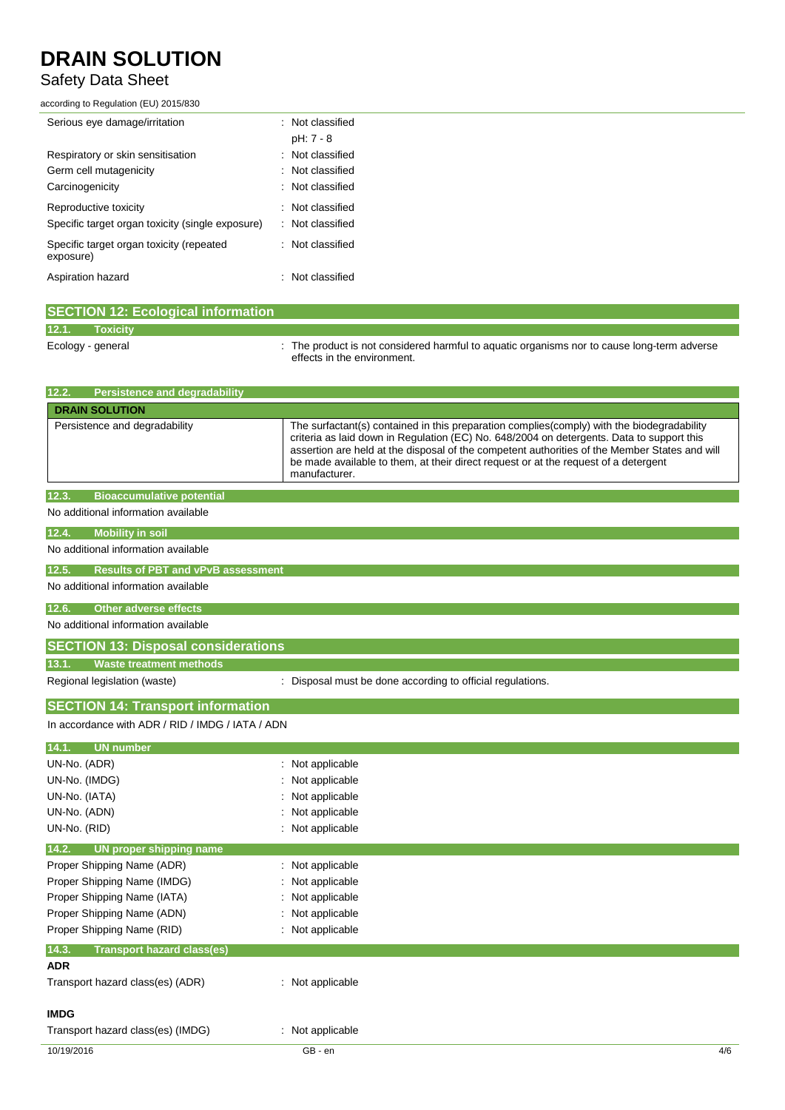## Safety Data Sheet

according to Regulation (EU) 2015/830

| Serious eye damage/irritation                         | : Not classified |
|-------------------------------------------------------|------------------|
|                                                       | pH: 7 - 8        |
| Respiratory or skin sensitisation                     | : Not classified |
| Germ cell mutagenicity                                | : Not classified |
| Carcinogenicity                                       | : Not classified |
| Reproductive toxicity                                 | : Not classified |
| Specific target organ toxicity (single exposure)      | : Not classified |
| Specific target organ toxicity (repeated<br>exposure) | : Not classified |
| Aspiration hazard                                     | : Not classified |
|                                                       |                  |

|                   | <b>SECTION 12: Ecological information</b> |                                                                                                                            |
|-------------------|-------------------------------------------|----------------------------------------------------------------------------------------------------------------------------|
| 12.1.             | <b>Toxicity</b>                           |                                                                                                                            |
| Ecology - general |                                           | : The product is not considered harmful to aquatic organisms nor to cause long-term adverse<br>effects in the environment. |

| 12.2.<br><b>Persistence and degradability</b>      |                                                                                                                                                                                                                                                                                                                                                                                                  |
|----------------------------------------------------|--------------------------------------------------------------------------------------------------------------------------------------------------------------------------------------------------------------------------------------------------------------------------------------------------------------------------------------------------------------------------------------------------|
| <b>DRAIN SOLUTION</b>                              |                                                                                                                                                                                                                                                                                                                                                                                                  |
| Persistence and degradability                      | The surfactant(s) contained in this preparation complies(comply) with the biodegradability<br>criteria as laid down in Regulation (EC) No. 648/2004 on detergents. Data to support this<br>assertion are held at the disposal of the competent authorities of the Member States and will<br>be made available to them, at their direct request or at the request of a detergent<br>manufacturer. |
| <b>Bioaccumulative potential</b><br>12.3.          |                                                                                                                                                                                                                                                                                                                                                                                                  |
| No additional information available                |                                                                                                                                                                                                                                                                                                                                                                                                  |
| 12.4.<br><b>Mobility in soil</b>                   |                                                                                                                                                                                                                                                                                                                                                                                                  |
| No additional information available                |                                                                                                                                                                                                                                                                                                                                                                                                  |
| 12.5.<br><b>Results of PBT and vPvB assessment</b> |                                                                                                                                                                                                                                                                                                                                                                                                  |
| No additional information available                |                                                                                                                                                                                                                                                                                                                                                                                                  |
| <b>Other adverse effects</b><br>12.6.              |                                                                                                                                                                                                                                                                                                                                                                                                  |
| No additional information available                |                                                                                                                                                                                                                                                                                                                                                                                                  |
| <b>SECTION 13: Disposal considerations</b>         |                                                                                                                                                                                                                                                                                                                                                                                                  |
| <b>Waste treatment methods</b><br>13.1.            |                                                                                                                                                                                                                                                                                                                                                                                                  |
| Regional legislation (waste)                       | : Disposal must be done according to official regulations.                                                                                                                                                                                                                                                                                                                                       |
| <b>SECTION 14: Transport information</b>           |                                                                                                                                                                                                                                                                                                                                                                                                  |
| In accordance with ADR / RID / IMDG / IATA / ADN   |                                                                                                                                                                                                                                                                                                                                                                                                  |
| 14.1.<br><b>UN</b> number                          |                                                                                                                                                                                                                                                                                                                                                                                                  |
| UN-No. (ADR)                                       | : Not applicable                                                                                                                                                                                                                                                                                                                                                                                 |
| UN-No. (IMDG)                                      | Not applicable                                                                                                                                                                                                                                                                                                                                                                                   |
| UN-No. (IATA)                                      | Not applicable                                                                                                                                                                                                                                                                                                                                                                                   |
| UN-No. (ADN)                                       | : Not applicable                                                                                                                                                                                                                                                                                                                                                                                 |
| UN-No. (RID)                                       | : Not applicable                                                                                                                                                                                                                                                                                                                                                                                 |
| 14.2.<br>UN proper shipping name                   |                                                                                                                                                                                                                                                                                                                                                                                                  |
| Proper Shipping Name (ADR)                         | : Not applicable                                                                                                                                                                                                                                                                                                                                                                                 |
| Proper Shipping Name (IMDG)                        | Not applicable                                                                                                                                                                                                                                                                                                                                                                                   |
| Proper Shipping Name (IATA)                        | Not applicable                                                                                                                                                                                                                                                                                                                                                                                   |
| Proper Shipping Name (ADN)                         | Not applicable                                                                                                                                                                                                                                                                                                                                                                                   |
| Proper Shipping Name (RID)                         | Not applicable                                                                                                                                                                                                                                                                                                                                                                                   |
| 14.3.<br><b>Transport hazard class(es)</b>         |                                                                                                                                                                                                                                                                                                                                                                                                  |
| <b>ADR</b>                                         |                                                                                                                                                                                                                                                                                                                                                                                                  |
| Transport hazard class(es) (ADR)                   | : Not applicable                                                                                                                                                                                                                                                                                                                                                                                 |
| <b>IMDG</b>                                        |                                                                                                                                                                                                                                                                                                                                                                                                  |
| Transport hazard class(es) (IMDG)                  | : Not applicable                                                                                                                                                                                                                                                                                                                                                                                 |
| 10/19/2016                                         | GB - en<br>4/6                                                                                                                                                                                                                                                                                                                                                                                   |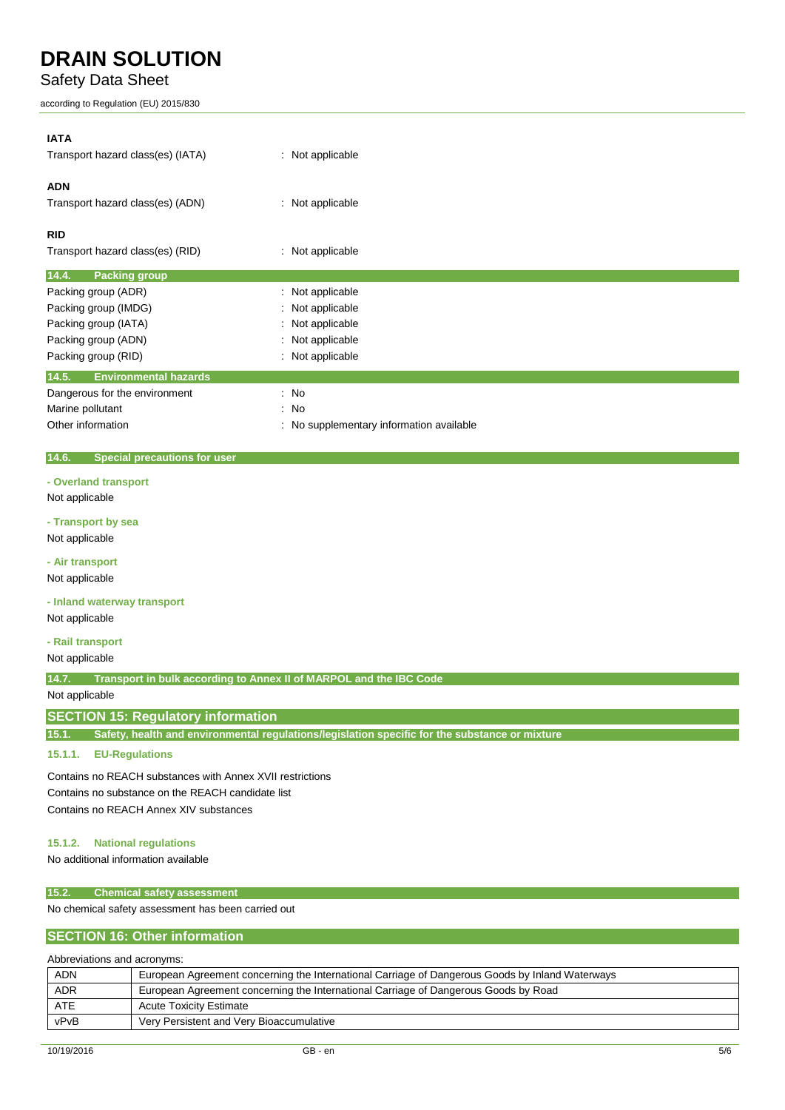### Safety Data Sheet

according to Regulation (EU) 2015/830

| <b>IATA</b>                                  |                                        |
|----------------------------------------------|----------------------------------------|
| Transport hazard class(es) (IATA)            | : Not applicable                       |
| <b>ADN</b>                                   |                                        |
| Transport hazard class(es) (ADN)             | : Not applicable                       |
| <b>RID</b>                                   |                                        |
| Transport hazard class(es) (RID)             | Not applicable<br>÷                    |
| 14.4.<br><b>Packing group</b>                |                                        |
| Packing group (ADR)                          | : Not applicable                       |
| Packing group (IMDG)                         | Not applicable                         |
| Packing group (IATA)                         | Not applicable                         |
| Packing group (ADN)                          | Not applicable<br>÷                    |
| Packing group (RID)                          | Not applicable                         |
| 14.5.<br><b>Environmental hazards</b>        |                                        |
| Dangerous for the environment                | $\therefore$ No                        |
| Marine pollutant                             | $\therefore$ No                        |
| Other information                            | No supplementary information available |
|                                              |                                        |
| 14.6.<br><b>Special precautions for user</b> |                                        |

**- Overland transport**

Not applicable

**- Transport by sea**

Not applicable

**- Air transport**

Not applicable

**- Inland waterway transport**

Not applicable

**- Rail transport**

Not applicable

**14.7. Transport in bulk according to Annex II of MARPOL and the IBC Code**

Not applicable

### **SECTION 15: Regulatory information**

**15.1. Safety, health and environmental regulations/legislation specific for the substance or mixture**

#### **15.1.1. EU-Regulations**

Contains no REACH substances with Annex XVII restrictions Contains no substance on the REACH candidate list Contains no REACH Annex XIV substances

#### **15.1.2. National regulations**

No additional information available

#### **15.2. Chemical safety assessment**

No chemical safety assessment has been carried out

#### **SECTION 16: Other information**

| Abbreviations and acronyms: |                                                                                                 |  |
|-----------------------------|-------------------------------------------------------------------------------------------------|--|
| <b>ADN</b>                  | European Agreement concerning the International Carriage of Dangerous Goods by Inland Waterways |  |
| <b>ADR</b>                  | European Agreement concerning the International Carriage of Dangerous Goods by Road             |  |
| ATE                         | <b>Acute Toxicity Estimate</b>                                                                  |  |
| vPvB                        | Very Persistent and Very Bioaccumulative                                                        |  |